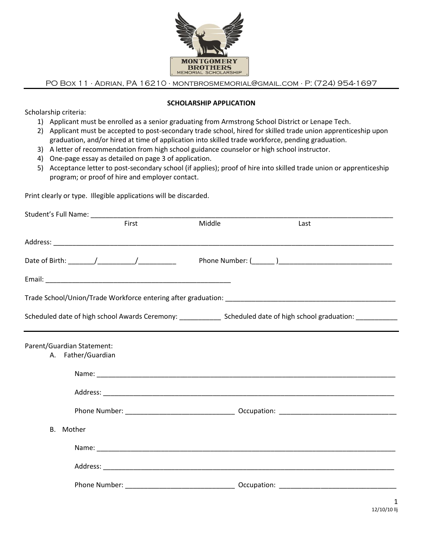

PO Box 11 ∙ Adrian, PA 16210 ∙ [montbrosmemorial@gmail.com](mailto:montbrosmemorial@gmail.com) ∙ P: (724) 954-1697

#### **SCHOLARSHIP APPLICATION**

Scholarship criteria:

- 1) Applicant must be enrolled as a senior graduating from Armstrong School District or Lenape Tech.
- 2) Applicant must be accepted to post-secondary trade school, hired for skilled trade union apprenticeship upon graduation, and/or hired at time of application into skilled trade workforce, pending graduation.
- 3) A letter of recommendation from high school guidance counselor or high school instructor.
- 4) One-page essay as detailed on page 3 of application.
- 5) Acceptance letter to post-secondary school (if applies); proof of hire into skilled trade union or apprenticeship program; or proof of hire and employer contact.

Print clearly or type. Illegible applications will be discarded.

|                                                                                                                      | First | Middle | Last |  |
|----------------------------------------------------------------------------------------------------------------------|-------|--------|------|--|
|                                                                                                                      |       |        |      |  |
|                                                                                                                      |       |        |      |  |
|                                                                                                                      |       |        |      |  |
|                                                                                                                      |       |        |      |  |
| Scheduled date of high school Awards Ceremony: _______________ Scheduled date of high school graduation: ___________ |       |        |      |  |
| Parent/Guardian Statement:<br>A. Father/Guardian                                                                     |       |        |      |  |
|                                                                                                                      |       |        |      |  |
|                                                                                                                      |       |        |      |  |
|                                                                                                                      |       |        |      |  |
| B. Mother                                                                                                            |       |        |      |  |
|                                                                                                                      |       |        |      |  |
|                                                                                                                      |       |        |      |  |
|                                                                                                                      |       |        |      |  |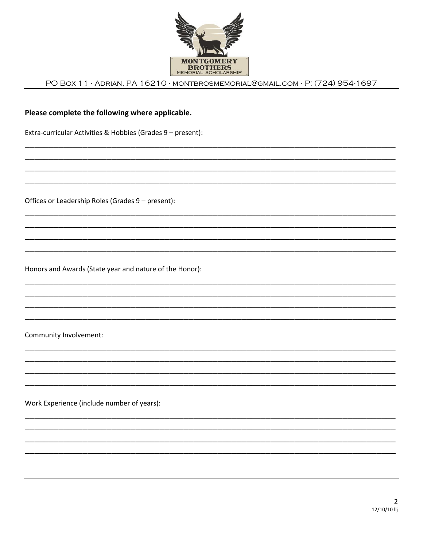

PO BOX 11 · ADRIAN, PA 16210 · MONTBROSMEMORIAL@GMAIL.COM · P: (724) 954-1697

# Please complete the following where applicable.

Extra-curricular Activities & Hobbies (Grades 9 - present):

Offices or Leadership Roles (Grades 9 - present):

Honors and Awards (State year and nature of the Honor):

Community Involvement:

Work Experience (include number of years):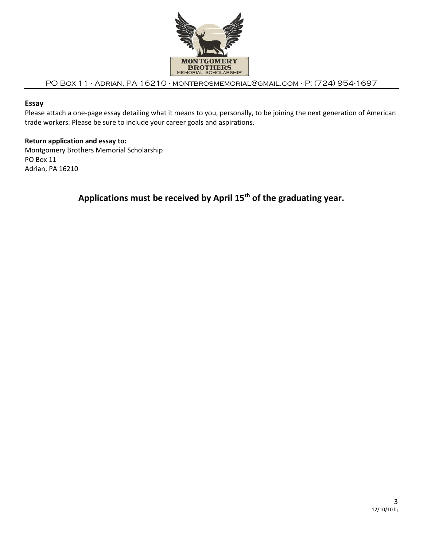

## PO Box 11 ∙ Adrian, PA 16210 ∙ [montbrosmemorial@gmail.com](mailto:montbrosmemorial@gmail.com) ∙ P: (724) 954-1697

# **Essay**

Please attach a one-page essay detailing what it means to you, personally, to be joining the next generation of American trade workers. Please be sure to include your career goals and aspirations.

### **Return application and essay to:**

Montgomery Brothers Memorial Scholarship PO Box 11 Adrian, PA 16210

# **Applications must be received by April 15th of the graduating year.**